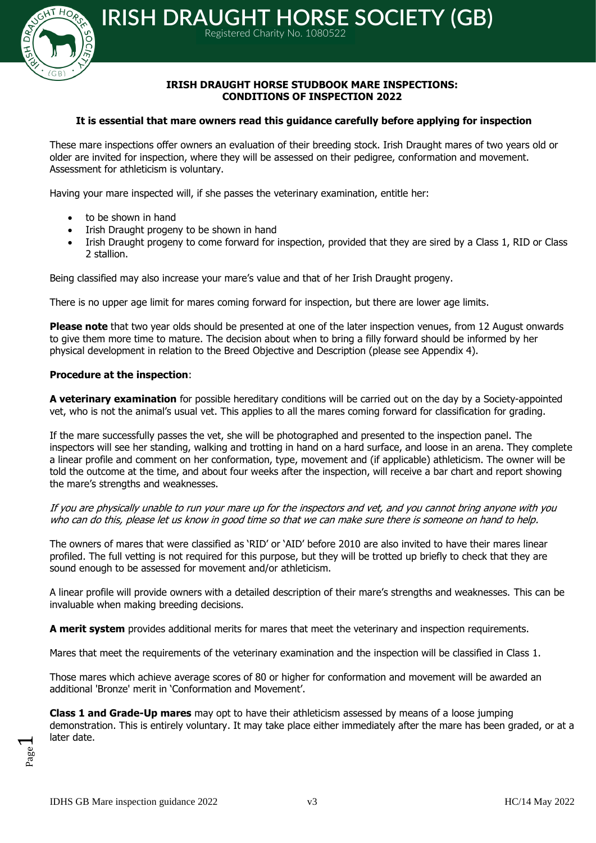

# **IRISH DRAUGHT HORSE STUDBOOK MARE INSPECTIONS: CONDITIONS OF INSPECTION 2022**

### **It is essential that mare owners read this guidance carefully before applying for inspection**

Registered Charity No. 1080522

These mare inspections offer owners an evaluation of their breeding stock. Irish Draught mares of two years old or older are invited for inspection, where they will be assessed on their pedigree, conformation and movement. Assessment for athleticism is voluntary.

Having your mare inspected will, if she passes the veterinary examination, entitle her:

- to be shown in hand
- Irish Draught progeny to be shown in hand
- Irish Draught progeny to come forward for inspection, provided that they are sired by a Class 1, RID or Class 2 stallion.

Being classified may also increase your mare's value and that of her Irish Draught progeny.

There is no upper age limit for mares coming forward for inspection, but there are lower age limits.

**Please note** that two year olds should be presented at one of the later inspection venues, from 12 August onwards to give them more time to mature. The decision about when to bring a filly forward should be informed by her physical development in relation to the Breed Objective and Description (please see Appendix 4).

### **Procedure at the inspection**:

**A veterinary examination** for possible hereditary conditions will be carried out on the day by a Society-appointed vet, who is not the animal's usual vet. This applies to all the mares coming forward for classification for grading.

If the mare successfully passes the vet, she will be photographed and presented to the inspection panel. The inspectors will see her standing, walking and trotting in hand on a hard surface, and loose in an arena. They complete a linear profile and comment on her conformation, type, movement and (if applicable) athleticism. The owner will be told the outcome at the time, and about four weeks after the inspection, will receive a bar chart and report showing the mare's strengths and weaknesses.

If you are physically unable to run your mare up for the inspectors and vet, and you cannot bring anyone with you who can do this, please let us know in good time so that we can make sure there is someone on hand to help.

The owners of mares that were classified as 'RID' or 'AID' before 2010 are also invited to have their mares linear profiled. The full vetting is not required for this purpose, but they will be trotted up briefly to check that they are sound enough to be assessed for movement and/or athleticism.

A linear profile will provide owners with a detailed description of their mare's strengths and weaknesses. This can be invaluable when making breeding decisions.

**A merit system** provides additional merits for mares that meet the veterinary and inspection requirements.

Mares that meet the requirements of the veterinary examination and the inspection will be classified in Class 1.

Those mares which achieve average scores of 80 or higher for conformation and movement will be awarded an additional 'Bronze' merit in 'Conformation and Movement'.

**Class 1 and Grade-Up mares** may opt to have their athleticism assessed by means of a loose jumping demonstration. This is entirely voluntary. It may take place either immediately after the mare has been graded, or at a later date.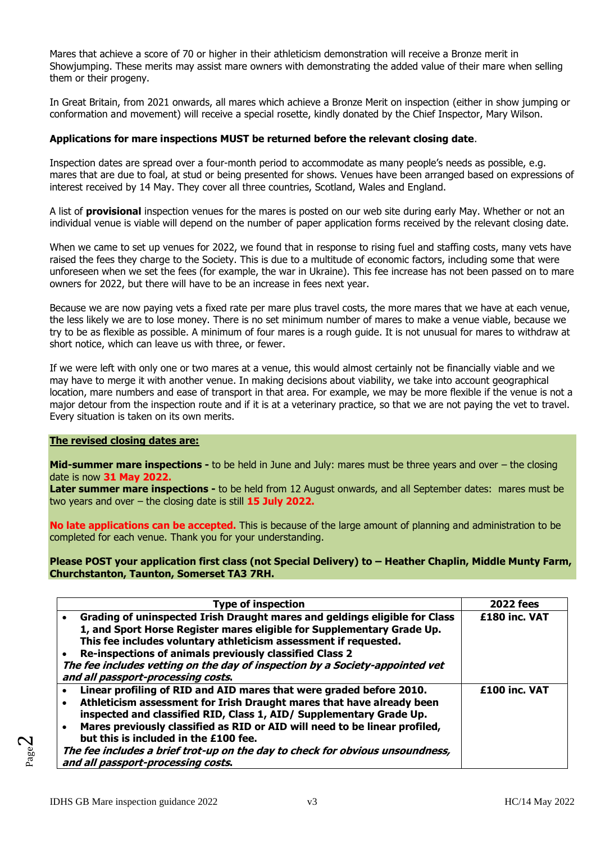Mares that achieve a score of 70 or higher in their athleticism demonstration will receive a Bronze merit in Showjumping. These merits may assist mare owners with demonstrating the added value of their mare when selling them or their progeny.

In Great Britain, from 2021 onwards, all mares which achieve a Bronze Merit on inspection (either in show jumping or conformation and movement) will receive a special rosette, kindly donated by the Chief Inspector, Mary Wilson.

# **Applications for mare inspections MUST be returned before the relevant closing date**.

Inspection dates are spread over a four-month period to accommodate as many people's needs as possible, e.g. mares that are due to foal, at stud or being presented for shows. Venues have been arranged based on expressions of interest received by 14 May. They cover all three countries, Scotland, Wales and England.

A list of **provisional** inspection venues for the mares is posted on our web site during early May. Whether or not an individual venue is viable will depend on the number of paper application forms received by the relevant closing date.

When we came to set up venues for 2022, we found that in response to rising fuel and staffing costs, many vets have raised the fees they charge to the Society. This is due to a multitude of economic factors, including some that were unforeseen when we set the fees (for example, the war in Ukraine). This fee increase has not been passed on to mare owners for 2022, but there will have to be an increase in fees next year.

Because we are now paying vets a fixed rate per mare plus travel costs, the more mares that we have at each venue, the less likely we are to lose money. There is no set minimum number of mares to make a venue viable, because we try to be as flexible as possible. A minimum of four mares is a rough guide. It is not unusual for mares to withdraw at short notice, which can leave us with three, or fewer.

If we were left with only one or two mares at a venue, this would almost certainly not be financially viable and we may have to merge it with another venue. In making decisions about viability, we take into account geographical location, mare numbers and ease of transport in that area. For example, we may be more flexible if the venue is not a major detour from the inspection route and if it is at a veterinary practice, so that we are not paying the vet to travel. Every situation is taken on its own merits.

### **The revised closing dates are:**

**Mid-summer mare inspections -** to be held in June and July: mares must be three years and over – the closing date is now **31 May 2022.**

**Later summer mare inspections -** to be held from 12 August onwards, and all September dates: mares must be two years and over – the closing date is still **15 July 2022.**

**No late applications can be accepted.** This is because of the large amount of planning and administration to be completed for each venue. Thank you for your understanding.

### **Please POST your application first class (not Special Delivery) to – Heather Chaplin, Middle Munty Farm, Churchstanton, Taunton, Somerset TA3 7RH.**

| <b>Type of inspection</b>                                                                                                                                                                                                                                                                                                                                                                                                                                                      | <b>2022 fees</b> |
|--------------------------------------------------------------------------------------------------------------------------------------------------------------------------------------------------------------------------------------------------------------------------------------------------------------------------------------------------------------------------------------------------------------------------------------------------------------------------------|------------------|
| Grading of uninspected Irish Draught mares and geldings eligible for Class<br>$\bullet$<br>1, and Sport Horse Register mares eligible for Supplementary Grade Up.<br>This fee includes voluntary athleticism assessment if requested.<br>Re-inspections of animals previously classified Class 2<br>The fee includes vetting on the day of inspection by a Society-appointed vet<br>and all passport-processing costs.                                                         | £180 inc. VAT    |
| Linear profiling of RID and AID mares that were graded before 2010.<br>Athleticism assessment for Irish Draught mares that have already been<br>inspected and classified RID, Class 1, AID/ Supplementary Grade Up.<br>Mares previously classified as RID or AID will need to be linear profiled,<br>$\bullet$<br>but this is included in the £100 fee.<br>The fee includes a brief trot-up on the day to check for obvious unsoundness,<br>and all passport-processing costs. | £100 inc. VAT    |

Page  $\boldsymbol{\sim}$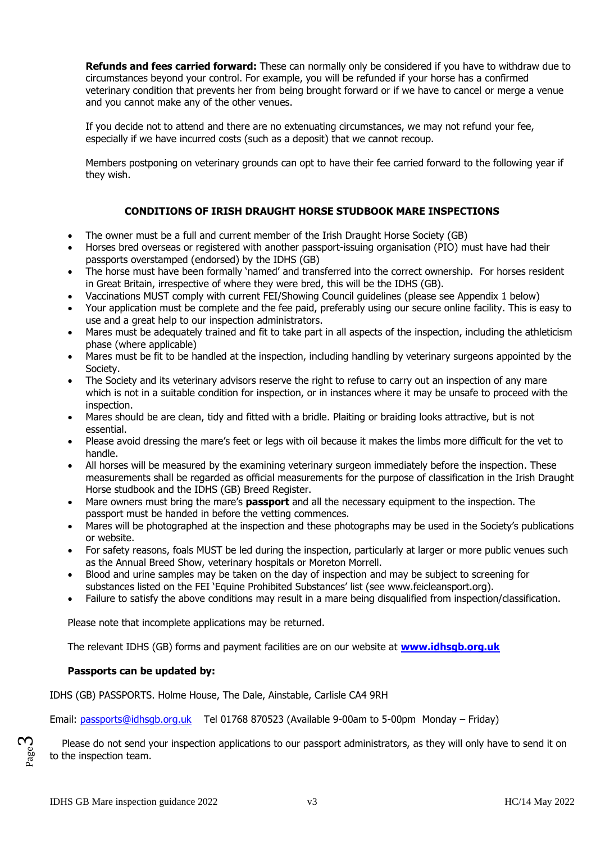**Refunds and fees carried forward:** These can normally only be considered if you have to withdraw due to circumstances beyond your control. For example, you will be refunded if your horse has a confirmed veterinary condition that prevents her from being brought forward or if we have to cancel or merge a venue and you cannot make any of the other venues.

If you decide not to attend and there are no extenuating circumstances, we may not refund your fee, especially if we have incurred costs (such as a deposit) that we cannot recoup.

Members postponing on veterinary grounds can opt to have their fee carried forward to the following year if they wish.

# **CONDITIONS OF IRISH DRAUGHT HORSE STUDBOOK MARE INSPECTIONS**

- The owner must be a full and current member of the Irish Draught Horse Society (GB)
- Horses bred overseas or registered with another passport-issuing organisation (PIO) must have had their passports overstamped (endorsed) by the IDHS (GB)
- The horse must have been formally 'named' and transferred into the correct ownership. For horses resident in Great Britain, irrespective of where they were bred, this will be the IDHS (GB).
- Vaccinations MUST comply with current FEI/Showing Council guidelines (please see Appendix 1 below)
- Your application must be complete and the fee paid, preferably using our secure online facility. This is easy to use and a great help to our inspection administrators.
- Mares must be adequately trained and fit to take part in all aspects of the inspection, including the athleticism phase (where applicable)
- Mares must be fit to be handled at the inspection, including handling by veterinary surgeons appointed by the Society.
- The Society and its veterinary advisors reserve the right to refuse to carry out an inspection of any mare which is not in a suitable condition for inspection, or in instances where it may be unsafe to proceed with the inspection.
- Mares should be are clean, tidy and fitted with a bridle. Plaiting or braiding looks attractive, but is not essential.
- Please avoid dressing the mare's feet or legs with oil because it makes the limbs more difficult for the vet to handle.
- All horses will be measured by the examining veterinary surgeon immediately before the inspection. These measurements shall be regarded as official measurements for the purpose of classification in the Irish Draught Horse studbook and the IDHS (GB) Breed Register.
- Mare owners must bring the mare's **passport** and all the necessary equipment to the inspection. The passport must be handed in before the vetting commences.
- Mares will be photographed at the inspection and these photographs may be used in the Society's publications or website.
- For safety reasons, foals MUST be led during the inspection, particularly at larger or more public venues such as the Annual Breed Show, veterinary hospitals or Moreton Morrell.
- Blood and urine samples may be taken on the day of inspection and may be subject to screening for substances listed on the FEI 'Equine Prohibited Substances' list (see [www.feicleansport.org\)](http://www.feicleansport.org/).
- Failure to satisfy the above conditions may result in a mare being disqualified from inspection/classification.

Please note that incomplete applications may be returned.

The relevant IDHS (GB) forms and payment facilities are on our website at **[www.idhsgb.org.uk](http://www.idhsgb.org.uk/)**

### **Passports can be updated by:**

IDHS (GB) PASSPORTS. Holme House, The Dale, Ainstable, Carlisle CA4 9RH

Email: [passports@idhsgb.org.uk](mailto:passports@idhsgb.org.uk) Tel 01768 870523 (Available 9-00am to 5-00pm Monday – Friday)

 Please do not send your inspection applications to our passport administrators, as they will only have to send it on to the inspection team.

Page ო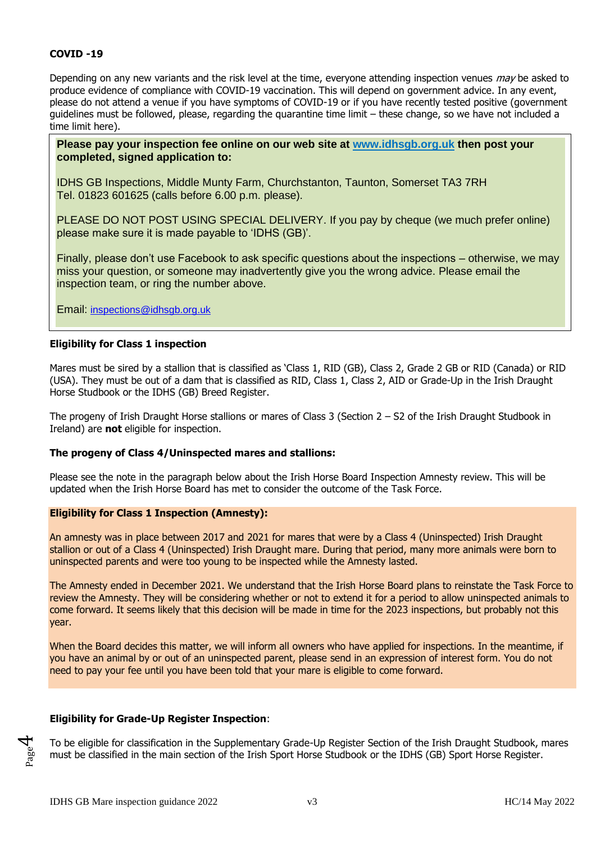### **COVID -19**

Depending on any new variants and the risk level at the time, everyone attending inspection venues may be asked to produce evidence of compliance with COVID-19 vaccination. This will depend on government advice. In any event, please do not attend a venue if you have symptoms of COVID-19 or if you have recently tested positive (government guidelines must be followed, please, regarding the quarantine time limit – these change, so we have not included a time limit here).

**Please pay your inspection fee online on our web site at [www.idhsgb.org.uk](http://www.idhsgb.org.uk/) then post your completed, signed application to:**

IDHS GB Inspections, Middle Munty Farm, Churchstanton, Taunton, Somerset TA3 7RH Tel. 01823 601625 (calls before 6.00 p.m. please).

PLEASE DO NOT POST USING SPECIAL DELIVERY. If you pay by cheque (we much prefer online) please make sure it is made payable to 'IDHS (GB)'.

Finally, please don't use Facebook to ask specific questions about the inspections – otherwise, we may miss your question, or someone may inadvertently give you the wrong advice. Please email the inspection team, or ring the number above.

Email: [inspections@idhsgb.org.u](mailto:inspections@idhsgb.org)k

#### **Eligibility for Class 1 inspection**

Mares must be sired by a stallion that is classified as 'Class 1, RID (GB), Class 2, Grade 2 GB or RID (Canada) or RID (USA). They must be out of a dam that is classified as RID, Class 1, Class 2, AID or Grade-Up in the Irish Draught Horse Studbook or the IDHS (GB) Breed Register.

The progeny of Irish Draught Horse stallions or mares of Class 3 (Section 2 – S2 of the Irish Draught Studbook in Ireland) are **not** eligible for inspection.

#### **The progeny of Class 4/Uninspected mares and stallions:**

Please see the note in the paragraph below about the Irish Horse Board Inspection Amnesty review. This will be updated when the Irish Horse Board has met to consider the outcome of the Task Force.

#### **Eligibility for Class 1 Inspection (Amnesty):**

An amnesty was in place between 2017 and 2021 for mares that were by a Class 4 (Uninspected) Irish Draught stallion or out of a Class 4 (Uninspected) Irish Draught mare. During that period, many more animals were born to uninspected parents and were too young to be inspected while the Amnesty lasted.

The Amnesty ended in December 2021. We understand that the Irish Horse Board plans to reinstate the Task Force to review the Amnesty. They will be considering whether or not to extend it for a period to allow uninspected animals to come forward. It seems likely that this decision will be made in time for the 2023 inspections, but probably not this year.

When the Board decides this matter, we will inform all owners who have applied for inspections. In the meantime, if you have an animal by or out of an uninspected parent, please send in an expression of interest form. You do not need to pay your fee until you have been told that your mare is eligible to come forward.

### **Eligibility for Grade-Up Register Inspection**:

To be eligible for classification in the Supplementary Grade-Up Register Section of the Irish Draught Studbook, mares must be classified in the main section of the Irish Sport Horse Studbook or the IDHS (GB) Sport Horse Register.

Page 4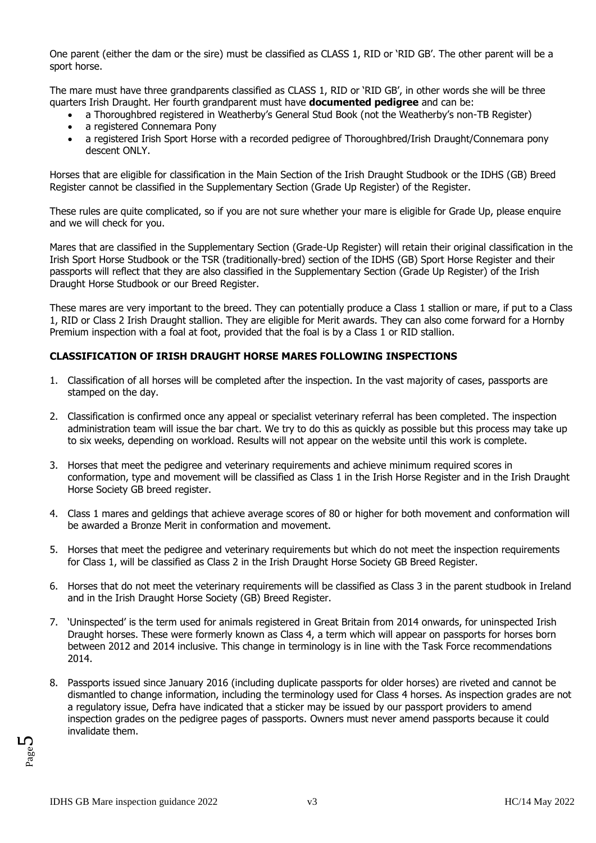One parent (either the dam or the sire) must be classified as CLASS 1, RID or 'RID GB'. The other parent will be a sport horse.

The mare must have three grandparents classified as CLASS 1, RID or 'RID GB', in other words she will be three quarters Irish Draught. Her fourth grandparent must have **documented pedigree** and can be:

- a Thoroughbred registered in Weatherby's General Stud Book (not the Weatherby's non-TB Register)
- a registered Connemara Pony
- a registered Irish Sport Horse with a recorded pedigree of Thoroughbred/Irish Draught/Connemara pony descent ONLY.

Horses that are eligible for classification in the Main Section of the Irish Draught Studbook or the IDHS (GB) Breed Register cannot be classified in the Supplementary Section (Grade Up Register) of the Register.

These rules are quite complicated, so if you are not sure whether your mare is eligible for Grade Up, please enquire and we will check for you.

Mares that are classified in the Supplementary Section (Grade-Up Register) will retain their original classification in the Irish Sport Horse Studbook or the TSR (traditionally-bred) section of the IDHS (GB) Sport Horse Register and their passports will reflect that they are also classified in the Supplementary Section (Grade Up Register) of the Irish Draught Horse Studbook or our Breed Register.

These mares are very important to the breed. They can potentially produce a Class 1 stallion or mare, if put to a Class 1, RID or Class 2 Irish Draught stallion. They are eligible for Merit awards. They can also come forward for a Hornby Premium inspection with a foal at foot, provided that the foal is by a Class 1 or RID stallion.

# **CLASSIFICATION OF IRISH DRAUGHT HORSE MARES FOLLOWING INSPECTIONS**

- 1. Classification of all horses will be completed after the inspection. In the vast majority of cases, passports are stamped on the day.
- 2. Classification is confirmed once any appeal or specialist veterinary referral has been completed. The inspection administration team will issue the bar chart. We try to do this as quickly as possible but this process may take up to six weeks, depending on workload. Results will not appear on the website until this work is complete.
- 3. Horses that meet the pedigree and veterinary requirements and achieve minimum required scores in conformation, type and movement will be classified as Class 1 in the Irish Horse Register and in the Irish Draught Horse Society GB breed register.
- 4. Class 1 mares and geldings that achieve average scores of 80 or higher for both movement and conformation will be awarded a Bronze Merit in conformation and movement.
- 5. Horses that meet the pedigree and veterinary requirements but which do not meet the inspection requirements for Class 1, will be classified as Class 2 in the Irish Draught Horse Society GB Breed Register.
- 6. Horses that do not meet the veterinary requirements will be classified as Class 3 in the parent studbook in Ireland and in the Irish Draught Horse Society (GB) Breed Register.
- 7. 'Uninspected' is the term used for animals registered in Great Britain from 2014 onwards, for uninspected Irish Draught horses. These were formerly known as Class 4, a term which will appear on passports for horses born between 2012 and 2014 inclusive. This change in terminology is in line with the Task Force recommendations 2014.
- 8. Passports issued since January 2016 (including duplicate passports for older horses) are riveted and cannot be dismantled to change information, including the terminology used for Class 4 horses. As inspection grades are not a regulatory issue, Defra have indicated that a sticker may be issued by our passport providers to amend inspection grades on the pedigree pages of passports. Owners must never amend passports because it could invalidate them.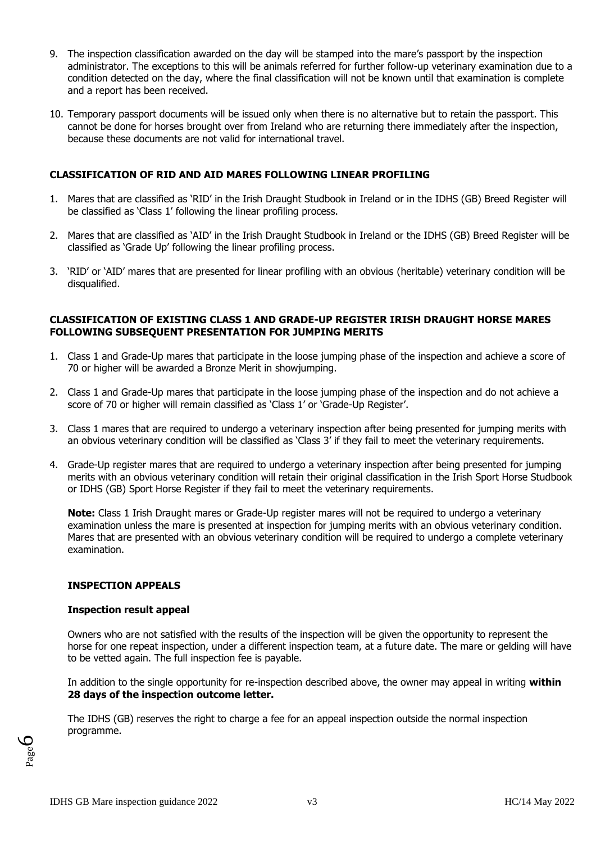- 9. The inspection classification awarded on the day will be stamped into the mare's passport by the inspection administrator. The exceptions to this will be animals referred for further follow-up veterinary examination due to a condition detected on the day, where the final classification will not be known until that examination is complete and a report has been received.
- 10. Temporary passport documents will be issued only when there is no alternative but to retain the passport. This cannot be done for horses brought over from Ireland who are returning there immediately after the inspection, because these documents are not valid for international travel.

# **CLASSIFICATION OF RID AND AID MARES FOLLOWING LINEAR PROFILING**

- 1. Mares that are classified as 'RID' in the Irish Draught Studbook in Ireland or in the IDHS (GB) Breed Register will be classified as 'Class 1' following the linear profiling process.
- 2. Mares that are classified as 'AID' in the Irish Draught Studbook in Ireland or the IDHS (GB) Breed Register will be classified as 'Grade Up' following the linear profiling process.
- 3. 'RID' or 'AID' mares that are presented for linear profiling with an obvious (heritable) veterinary condition will be disqualified.

### **CLASSIFICATION OF EXISTING CLASS 1 AND GRADE-UP REGISTER IRISH DRAUGHT HORSE MARES FOLLOWING SUBSEQUENT PRESENTATION FOR JUMPING MERITS**

- 1. Class 1 and Grade-Up mares that participate in the loose jumping phase of the inspection and achieve a score of 70 or higher will be awarded a Bronze Merit in showjumping.
- 2. Class 1 and Grade-Up mares that participate in the loose jumping phase of the inspection and do not achieve a score of 70 or higher will remain classified as 'Class 1' or 'Grade-Up Register'.
- 3. Class 1 mares that are required to undergo a veterinary inspection after being presented for jumping merits with an obvious veterinary condition will be classified as 'Class 3' if they fail to meet the veterinary requirements.
- 4. Grade-Up register mares that are required to undergo a veterinary inspection after being presented for jumping merits with an obvious veterinary condition will retain their original classification in the Irish Sport Horse Studbook or IDHS (GB) Sport Horse Register if they fail to meet the veterinary requirements.

**Note:** Class 1 Irish Draught mares or Grade-Up register mares will not be required to undergo a veterinary examination unless the mare is presented at inspection for jumping merits with an obvious veterinary condition. Mares that are presented with an obvious veterinary condition will be required to undergo a complete veterinary examination.

### **INSPECTION APPEALS**

### **Inspection result appeal**

Owners who are not satisfied with the results of the inspection will be given the opportunity to represent the horse for one repeat inspection, under a different inspection team, at a future date. The mare or gelding will have to be vetted again. The full inspection fee is payable.

In addition to the single opportunity for re-inspection described above, the owner may appeal in writing **within 28 days of the inspection outcome letter.**

The IDHS (GB) reserves the right to charge a fee for an appeal inspection outside the normal inspection programme.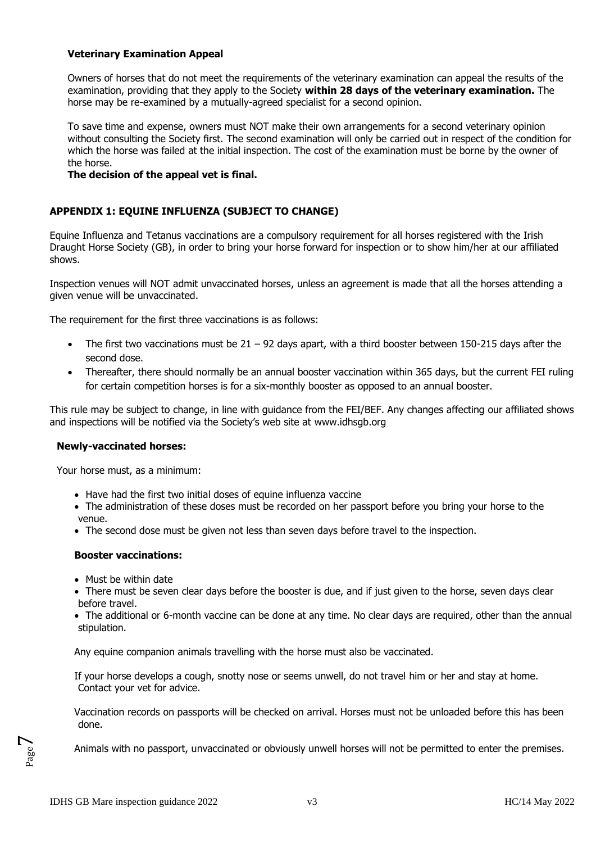### **Veterinary Examination Appeal**

Owners of horses that do not meet the requirements of the veterinary examination can appeal the results of the examination, providing that they apply to the Society **within 28 days of the veterinary examination.** The horse may be re-examined by a mutually-agreed specialist for a second opinion.

To save time and expense, owners must NOT make their own arrangements for a second veterinary opinion without consulting the Society first. The second examination will only be carried out in respect of the condition for which the horse was failed at the initial inspection. The cost of the examination must be borne by the owner of the horse.

# **The decision of the appeal vet is final.**

# **APPENDIX 1: EQUINE INFLUENZA (SUBJECT TO CHANGE)**

Equine Influenza and Tetanus vaccinations are a compulsory requirement for all horses registered with the Irish Draught Horse Society (GB), in order to bring your horse forward for inspection or to show him/her at our affiliated shows.

Inspection venues will NOT admit unvaccinated horses, unless an agreement is made that all the horses attending a given venue will be unvaccinated.

The requirement for the first three vaccinations is as follows:

- The first two vaccinations must be 21 92 days apart, with a third booster between 150-215 days after the second dose.
- Thereafter, there should normally be an annual booster vaccination within 365 days, but the current FEI ruling for certain competition horses is for a six-monthly booster as opposed to an annual booster.

This rule may be subject to change, in line with guidance from the FEI/BEF. Any changes affecting our affiliated shows and inspections will be notified via the Society's web site at [www.idhsgb.org](http://www.idhsgb.com/)

### **Newly-vaccinated horses:**

Your horse must, as a minimum:

- Have had the first two initial doses of equine influenza vaccine
- The administration of these doses must be recorded on her passport before you bring your horse to the venue.
- The second dose must be given not less than seven days before travel to the inspection.

### **Booster vaccinations:**

- Must be within date
- There must be seven clear days before the booster is due, and if just given to the horse, seven days clear before travel.
- The additional or 6-month vaccine can be done at any time. No clear days are required, other than the annual stipulation.

Any equine companion animals travelling with the horse must also be vaccinated.

If your horse develops a cough, snotty nose or seems unwell, do not travel him or her and stay at home. Contact your vet for advice.

Vaccination records on passports will be checked on arrival. Horses must not be unloaded before this has been done.

Animals with no passport, unvaccinated or obviously unwell horses will not be permitted to enter the premises.

Page  $\overline{\phantom{a}}$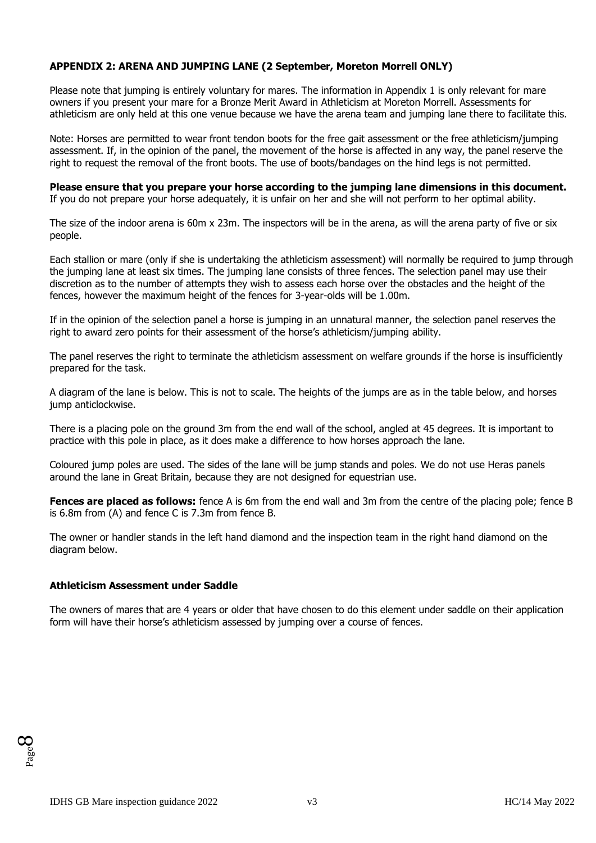# **APPENDIX 2: ARENA AND JUMPING LANE (2 September, Moreton Morrell ONLY)**

Please note that jumping is entirely voluntary for mares. The information in Appendix 1 is only relevant for mare owners if you present your mare for a Bronze Merit Award in Athleticism at Moreton Morrell. Assessments for athleticism are only held at this one venue because we have the arena team and jumping lane there to facilitate this.

Note: Horses are permitted to wear front tendon boots for the free gait assessment or the free athleticism/jumping assessment. If, in the opinion of the panel, the movement of the horse is affected in any way, the panel reserve the right to request the removal of the front boots. The use of boots/bandages on the hind legs is not permitted.

**Please ensure that you prepare your horse according to the jumping lane dimensions in this document.**  If you do not prepare your horse adequately, it is unfair on her and she will not perform to her optimal ability.

The size of the indoor arena is 60m x 23m. The inspectors will be in the arena, as will the arena party of five or six people.

Each stallion or mare (only if she is undertaking the athleticism assessment) will normally be required to jump through the jumping lane at least six times. The jumping lane consists of three fences. The selection panel may use their discretion as to the number of attempts they wish to assess each horse over the obstacles and the height of the fences, however the maximum height of the fences for 3-year-olds will be 1.00m.

If in the opinion of the selection panel a horse is jumping in an unnatural manner, the selection panel reserves the right to award zero points for their assessment of the horse's athleticism/jumping ability.

The panel reserves the right to terminate the athleticism assessment on welfare grounds if the horse is insufficiently prepared for the task.

A diagram of the lane is below. This is not to scale. The heights of the jumps are as in the table below, and horses jump anticlockwise.

There is a placing pole on the ground 3m from the end wall of the school, angled at 45 degrees. It is important to practice with this pole in place, as it does make a difference to how horses approach the lane.

Coloured jump poles are used. The sides of the lane will be jump stands and poles. We do not use Heras panels around the lane in Great Britain, because they are not designed for equestrian use.

**Fences are placed as follows:** fence A is 6m from the end wall and 3m from the centre of the placing pole; fence B is 6.8m from (A) and fence C is 7.3m from fence B.

The owner or handler stands in the left hand diamond and the inspection team in the right hand diamond on the diagram below.

#### **Athleticism Assessment under Saddle**

The owners of mares that are 4 years or older that have chosen to do this element under saddle on their application form will have their horse's athleticism assessed by jumping over a course of fences.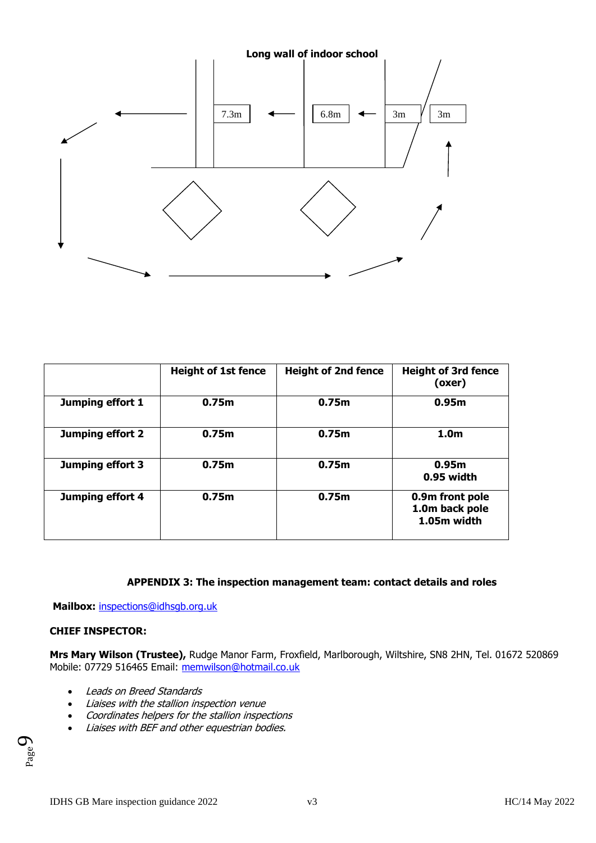

|                  | <b>Height of 1st fence</b> | <b>Height of 2nd fence</b> | <b>Height of 3rd fence</b><br>(oxer)             |
|------------------|----------------------------|----------------------------|--------------------------------------------------|
| Jumping effort 1 | 0.75m                      | 0.75m                      | 0.95m                                            |
| Jumping effort 2 | 0.75m                      | 0.75m                      | 1.0 <sub>m</sub>                                 |
| Jumping effort 3 | 0.75m                      | 0.75m                      | 0.95m<br>0.95 width                              |
| Jumping effort 4 | 0.75m                      | 0.75m                      | 0.9m front pole<br>1.0m back pole<br>1.05m width |

### **APPENDIX 3: The inspection management team: contact details and roles**

**Mailbox:** [inspections@idhsgb.org.uk](mailto:inspections@idhsgb.org.uk)

### **CHIEF INSPECTOR:**

**Mrs Mary Wilson (Trustee),** Rudge Manor Farm, Froxfield, Marlborough, Wiltshire, SN8 2HN, Tel. 01672 520869 Mobile: 07729 516465 Email: [memwilson@hotmail.co.uk](mailto:memwilson@hotmail.co.uk)

- Leads on Breed Standards
- Liaises with the stallion inspection venue
- Coordinates helpers for the stallion inspections
- Liaises with BEF and other equestrian bodies.

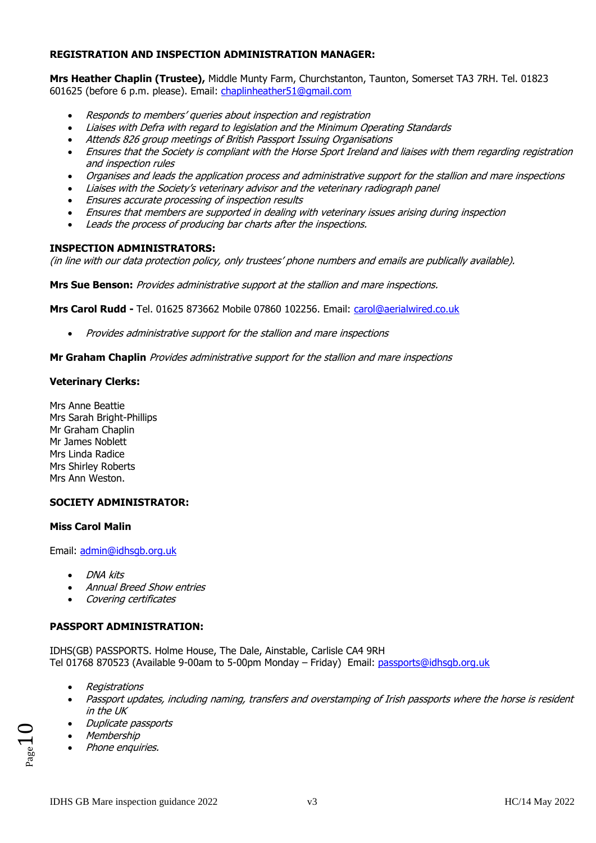### **REGISTRATION AND INSPECTION ADMINISTRATION MANAGER:**

**Mrs Heather Chaplin (Trustee),** Middle Munty Farm, Churchstanton, Taunton, Somerset TA3 7RH. Tel. 01823 601625 (before 6 p.m. please). Email: [chaplinheather51@gmail.c](mailto:chaplinheather51@gmail.)om

- Responds to members' queries about inspection and registration
- Liaises with Defra with regard to legislation and the Minimum Operating Standards
- Attends 826 group meetings of British Passport Issuing Organisations
- Ensures that the Society is compliant with the Horse Sport Ireland and liaises with them regarding registration and inspection rules
- Organises and leads the application process and administrative support for the stallion and mare inspections
- Liaises with the Society's veterinary advisor and the veterinary radiograph panel
- Ensures accurate processing of inspection results
- Ensures that members are supported in dealing with veterinary issues arising during inspection
- Leads the process of producing bar charts after the inspections.

### **INSPECTION ADMINISTRATORS:**

(in line with our data protection policy, only trustees' phone numbers and emails are publically available).

**Mrs Sue Benson:** Provides administrative support at the stallion and mare inspections.

**Mrs Carol Rudd -** Tel. 01625 873662 Mobile 07860 102256. Email: [carol@aerialwired.co.uk](mailto:carol@aerialwired.co.uk)

• Provides administrative support for the stallion and mare inspections

**Mr Graham Chaplin** Provides administrative support for the stallion and mare inspections

# **Veterinary Clerks:**

Mrs Anne Beattie Mrs Sarah Bright-Phillips Mr Graham Chaplin Mr James Noblett Mrs Linda Radice Mrs Shirley Roberts Mrs Ann Weston.

# **SOCIETY ADMINISTRATOR:**

### **Miss Carol Malin**

Email: [admin@idhsgb.org.](mailto:admin@idhsgb.org)uk

- DNA kits
- Annual Breed Show entries
- Covering certificates

### **PASSPORT ADMINISTRATION:**

IDHS(GB) PASSPORTS. Holme House, The Dale, Ainstable, Carlisle CA4 9RH Tel 01768 870523 (Available 9-00am to 5-00pm Monday – Friday) Email: [passports@idhsgb.org.](mailto:passports@idhsgb.com)uk

- Registrations
- Passport updates, including naming, transfers and overstamping of Irish passports where the horse is resident in the UK
- Duplicate passports
- Membership

 $_{\rm Page}10$ 

• Phone enquiries.